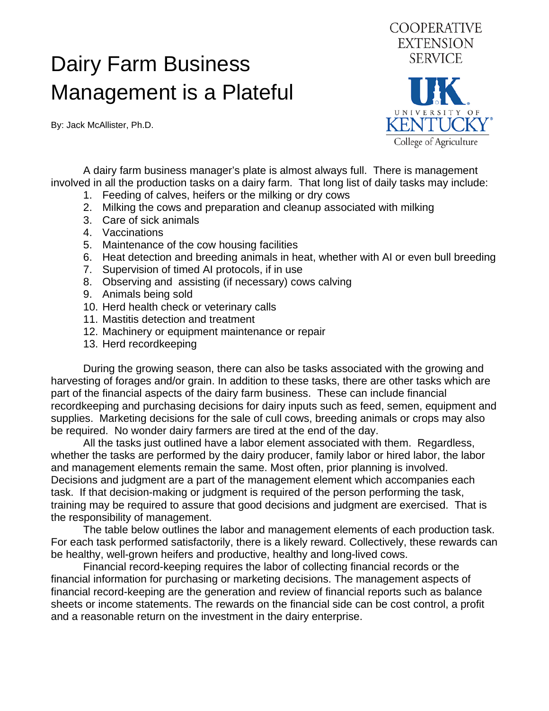## Dairy Farm Business Management is a Plateful

By: Jack McAllister, Ph.D.



 A dairy farm business manager's plate is almost always full. There is management involved in all the production tasks on a dairy farm. That long list of daily tasks may include:

- 1. Feeding of calves, heifers or the milking or dry cows
- 2. Milking the cows and preparation and cleanup associated with milking
- 3. Care of sick animals
- 4. Vaccinations
- 5. Maintenance of the cow housing facilities
- 6. Heat detection and breeding animals in heat, whether with AI or even bull breeding
- 7. Supervision of timed AI protocols, if in use
- 8. Observing and assisting (if necessary) cows calving
- 9. Animals being sold
- 10. Herd health check or veterinary calls
- 11. Mastitis detection and treatment
- 12. Machinery or equipment maintenance or repair
- 13. Herd recordkeeping

 During the growing season, there can also be tasks associated with the growing and harvesting of forages and/or grain. In addition to these tasks, there are other tasks which are part of the financial aspects of the dairy farm business. These can include financial recordkeeping and purchasing decisions for dairy inputs such as feed, semen, equipment and supplies. Marketing decisions for the sale of cull cows, breeding animals or crops may also be required. No wonder dairy farmers are tired at the end of the day.

 All the tasks just outlined have a labor element associated with them. Regardless, whether the tasks are performed by the dairy producer, family labor or hired labor, the labor and management elements remain the same. Most often, prior planning is involved. Decisions and judgment are a part of the management element which accompanies each task. If that decision-making or judgment is required of the person performing the task, training may be required to assure that good decisions and judgment are exercised. That is the responsibility of management.

 The table below outlines the labor and management elements of each production task. For each task performed satisfactorily, there is a likely reward. Collectively, these rewards can be healthy, well-grown heifers and productive, healthy and long-lived cows.

 Financial record-keeping requires the labor of collecting financial records or the financial information for purchasing or marketing decisions. The management aspects of financial record-keeping are the generation and review of financial reports such as balance sheets or income statements. The rewards on the financial side can be cost control, a profit and a reasonable return on the investment in the dairy enterprise.